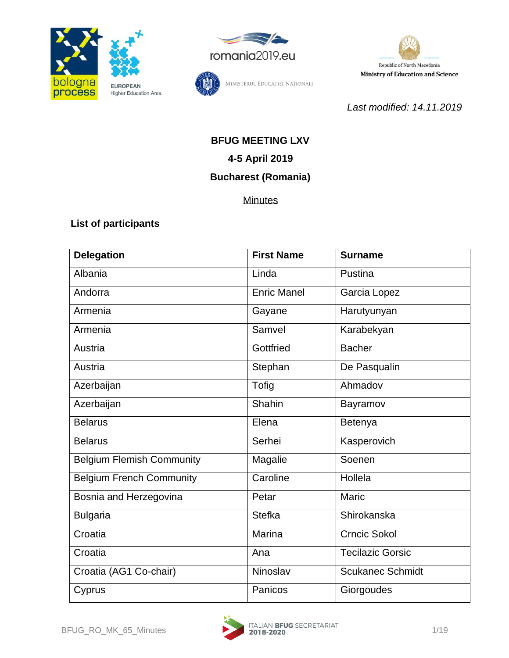





MINISTERUL EDUCAȚIEI NAȚIONALE

*Last modified: 14.11.2019*

# **BFUG MEETING LXV 4-5 April 2019**

# **Bucharest (Romania)**

**Minutes** 

### **List of participants**

| <b>Delegation</b>                | <b>First Name</b>  | <b>Surname</b>          |
|----------------------------------|--------------------|-------------------------|
| Albania                          | Linda              | Pustina                 |
| Andorra                          | <b>Enric Manel</b> | Garcia Lopez            |
| Armenia                          | Gayane             | Harutyunyan             |
| Armenia                          | Samvel             | Karabekyan              |
| Austria                          | Gottfried          | <b>Bacher</b>           |
| Austria                          | Stephan            | De Pasqualin            |
| Azerbaijan                       | Tofig              | Ahmadov                 |
| Azerbaijan                       | Shahin             | Bayramov                |
| <b>Belarus</b>                   | Elena              | Betenya                 |
| <b>Belarus</b>                   | Serhei             | Kasperovich             |
| <b>Belgium Flemish Community</b> | Magalie            | Soenen                  |
| <b>Belgium French Community</b>  | Caroline           | Hollela                 |
| Bosnia and Herzegovina           | Petar              | Maric                   |
| <b>Bulgaria</b>                  | <b>Stefka</b>      | Shirokanska             |
| Croatia                          | Marina             | <b>Crncic Sokol</b>     |
| Croatia                          | Ana                | <b>Tecilazic Gorsic</b> |
| Croatia (AG1 Co-chair)           | Ninoslav           | <b>Scukanec Schmidt</b> |
| Cyprus                           | Panicos            | Giorgoudes              |

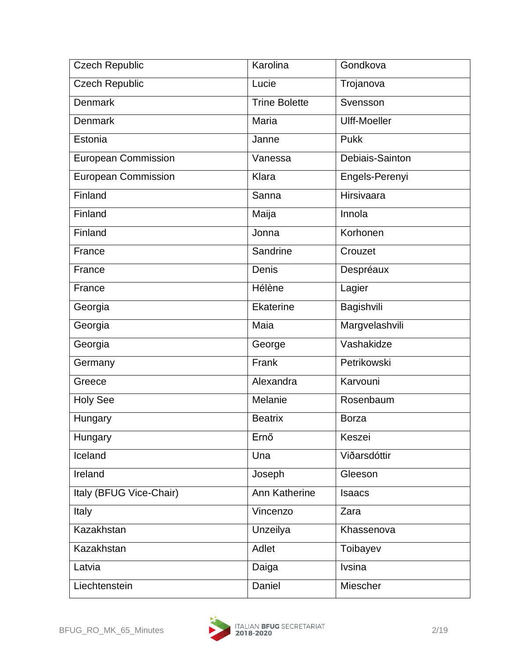| <b>Czech Republic</b>      | Karolina             | Gondkova            |
|----------------------------|----------------------|---------------------|
| <b>Czech Republic</b>      | Lucie                | Trojanova           |
| <b>Denmark</b>             | <b>Trine Bolette</b> | Svensson            |
| <b>Denmark</b>             | Maria                | <b>Ulff-Moeller</b> |
| Estonia                    | Janne                | <b>Pukk</b>         |
| <b>European Commission</b> | Vanessa              | Debiais-Sainton     |
| <b>European Commission</b> | Klara                | Engels-Perenyi      |
| Finland                    | Sanna                | Hirsivaara          |
| Finland                    | Maija                | Innola              |
| Finland                    | Jonna                | Korhonen            |
| France                     | Sandrine             | Crouzet             |
| France                     | Denis                | Despréaux           |
| France                     | Hélène               | Lagier              |
| Georgia                    | Ekaterine            | Bagishvili          |
| Georgia                    | Maia                 | Margvelashvili      |
| Georgia                    | George               | Vashakidze          |
| Germany                    | Frank                | Petrikowski         |
| Greece                     | Alexandra            | Karvouni            |
| <b>Holy See</b>            | Melanie              | Rosenbaum           |
| Hungary                    | <b>Beatrix</b>       | <b>Borza</b>        |
| Hungary                    | Ernő                 | Keszei              |
| Iceland                    | Una                  | Viðarsdóttir        |
| Ireland                    | Joseph               | Gleeson             |
| Italy (BFUG Vice-Chair)    | Ann Katherine        | <b>Isaacs</b>       |
| Italy                      | Vincenzo             | Zara                |
| Kazakhstan                 | Unzeilya             | Khassenova          |
| Kazakhstan                 | Adlet                | Toibayev            |
| Latvia                     | Daiga                | <b>Ivsina</b>       |
| Liechtenstein              | Daniel               | Miescher            |

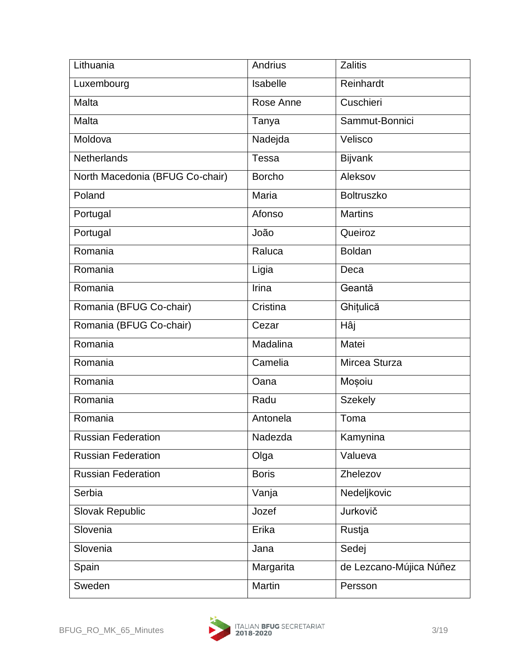| Lithuania                       | Andrius       | <b>Zalitis</b>          |
|---------------------------------|---------------|-------------------------|
| Luxembourg                      | Isabelle      | Reinhardt               |
| Malta                           | Rose Anne     | Cuschieri               |
| Malta                           | Tanya         | Sammut-Bonnici          |
| Moldova                         | Nadejda       | Velisco                 |
| <b>Netherlands</b>              | <b>Tessa</b>  | <b>Bijvank</b>          |
| North Macedonia (BFUG Co-chair) | <b>Borcho</b> | Aleksov                 |
| Poland                          | Maria         | <b>Boltruszko</b>       |
| Portugal                        | Afonso        | <b>Martins</b>          |
| Portugal                        | João          | Queiroz                 |
| Romania                         | Raluca        | <b>Boldan</b>           |
| Romania                         | Ligia         | Deca                    |
| Romania                         | Irina         | Geantă                  |
| Romania (BFUG Co-chair)         | Cristina      | Ghițulică               |
| Romania (BFUG Co-chair)         | Cezar         | Hâj                     |
| Romania                         | Madalina      | Matei                   |
| Romania                         | Camelia       | Mircea Sturza           |
| Romania                         | Oana          | Moșoiu                  |
| Romania                         | Radu          | <b>Szekely</b>          |
| Romania                         | Antonela      | Toma                    |
| <b>Russian Federation</b>       | Nadezda       | Kamynina                |
| <b>Russian Federation</b>       | Olga          | Valueva                 |
| <b>Russian Federation</b>       | <b>Boris</b>  | Zhelezov                |
| Serbia                          | Vanja         | Nedeljkovic             |
| Slovak Republic                 | Jozef         | Jurkovič                |
| Slovenia                        | Erika         | Rustja                  |
| Slovenia                        | Jana          | Sedej                   |
| Spain                           | Margarita     | de Lezcano-Mújica Núñez |
| Sweden                          | Martin        | Persson                 |

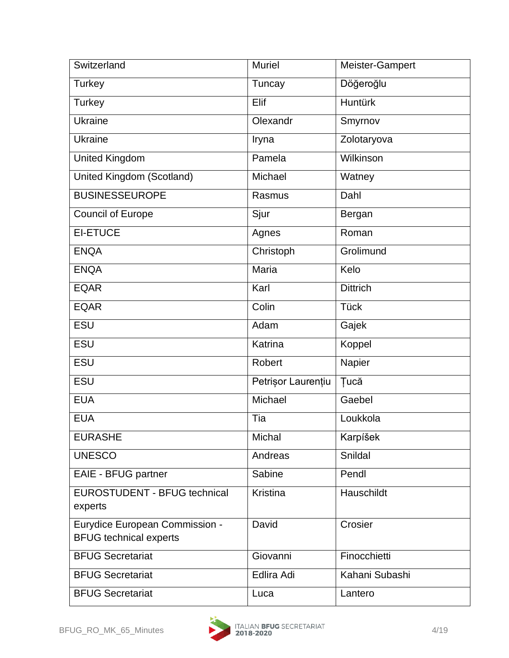| Switzerland                                                            | <b>Muriel</b>      | Meister-Gampert |
|------------------------------------------------------------------------|--------------------|-----------------|
| <b>Turkey</b>                                                          | Tuncay             | Döğeroğlu       |
| <b>Turkey</b>                                                          | Elif               | Huntürk         |
| <b>Ukraine</b>                                                         | Olexandr           | Smyrnov         |
| <b>Ukraine</b>                                                         | Iryna              | Zolotaryova     |
| <b>United Kingdom</b>                                                  | Pamela             | Wilkinson       |
| United Kingdom (Scotland)                                              | Michael            | Watney          |
| <b>BUSINESSEUROPE</b>                                                  | Rasmus             | Dahl            |
| <b>Council of Europe</b>                                               | Sjur               | Bergan          |
| <b>EI-ETUCE</b>                                                        | Agnes              | Roman           |
| <b>ENQA</b>                                                            | Christoph          | Grolimund       |
| <b>ENQA</b>                                                            | Maria              | Kelo            |
| <b>EQAR</b>                                                            | Karl               | <b>Dittrich</b> |
| <b>EQAR</b>                                                            | Colin              | <b>Tück</b>     |
| ESU                                                                    | Adam               | Gajek           |
| <b>ESU</b>                                                             | Katrina            | Koppel          |
| ESU                                                                    | Robert             | Napier          |
| ESU                                                                    | Petrisor Laurențiu | <b>Tucă</b>     |
| <b>EUA</b>                                                             | Michael            | Gaebel          |
| <b>EUA</b>                                                             | Tia                | Loukkola        |
| <b>EURASHE</b>                                                         | Michal             | Karpíšek        |
| <b>UNESCO</b>                                                          | Andreas            | Snildal         |
| EAIE - BFUG partner                                                    | Sabine             | Pendl           |
| <b>EUROSTUDENT - BFUG technical</b><br>experts                         | Kristina           | Hauschildt      |
| <b>Eurydice European Commission -</b><br><b>BFUG technical experts</b> | David              | Crosier         |
| <b>BFUG Secretariat</b>                                                | Giovanni           | Finocchietti    |
| <b>BFUG Secretariat</b>                                                | Edlira Adi         | Kahani Subashi  |
| <b>BFUG Secretariat</b>                                                | Luca               | Lantero         |

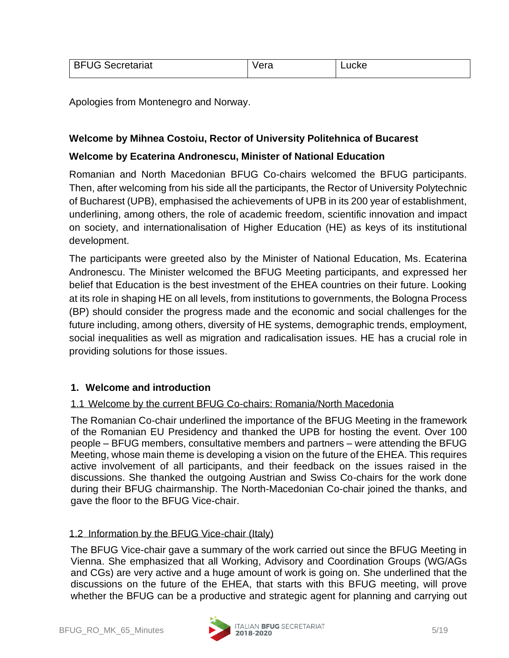| <b>BFUG Secretariat</b> | Vera | ∟ucke∶ |
|-------------------------|------|--------|
|                         |      |        |

Apologies from Montenegro and Norway.

#### **Welcome by Mihnea Costoiu, Rector of University Politehnica of Bucarest**

#### **Welcome by Ecaterina Andronescu, Minister of National Education**

Romanian and North Macedonian BFUG Co-chairs welcomed the BFUG participants. Then, after welcoming from his side all the participants, the Rector of University Polytechnic of Bucharest (UPB), emphasised the achievements of UPB in its 200 year of establishment, underlining, among others, the role of academic freedom, scientific innovation and impact on society, and internationalisation of Higher Education (HE) as keys of its institutional development.

The participants were greeted also by the Minister of National Education, Ms. Ecaterina Andronescu. The Minister welcomed the BFUG Meeting participants, and expressed her belief that Education is the best investment of the EHEA countries on their future. Looking at its role in shaping HE on all levels, from institutions to governments, the Bologna Process (BP) should consider the progress made and the economic and social challenges for the future including, among others, diversity of HE systems, demographic trends, employment, social inequalities as well as migration and radicalisation issues. HE has a crucial role in providing solutions for those issues.

#### **1. Welcome and introduction**

#### 1.1 Welcome by the current BFUG Co-chairs: Romania/North Macedonia

The Romanian Co-chair underlined the importance of the BFUG Meeting in the framework of the Romanian EU Presidency and thanked the UPB for hosting the event. Over 100 people – BFUG members, consultative members and partners – were attending the BFUG Meeting, whose main theme is developing a vision on the future of the EHEA. This requires active involvement of all participants, and their feedback on the issues raised in the discussions. She thanked the outgoing Austrian and Swiss Co-chairs for the work done during their BFUG chairmanship. The North-Macedonian Co-chair joined the thanks, and gave the floor to the BFUG Vice-chair.

#### 1.2 Information by the BFUG Vice-chair (Italy)

The BFUG Vice-chair gave a summary of the work carried out since the BFUG Meeting in Vienna. She emphasized that all Working, Advisory and Coordination Groups (WG/AGs and CGs) are very active and a huge amount of work is going on. She underlined that the discussions on the future of the EHEA, that starts with this BFUG meeting, will prove whether the BFUG can be a productive and strategic agent for planning and carrying out

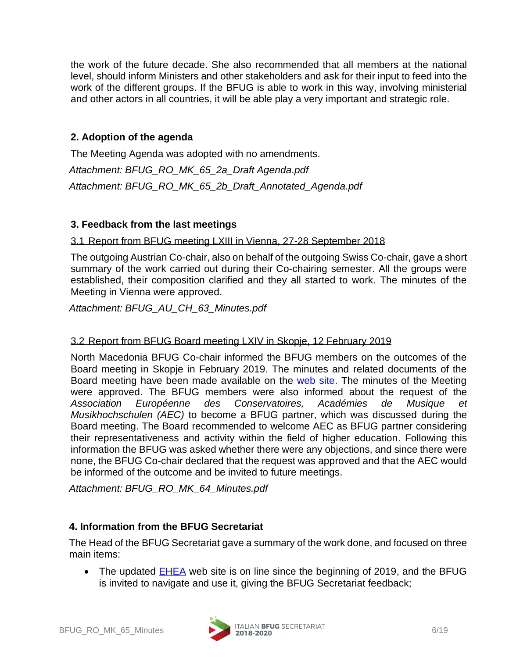the work of the future decade. She also recommended that all members at the national level, should inform Ministers and other stakeholders and ask for their input to feed into the work of the different groups. If the BFUG is able to work in this way, involving ministerial and other actors in all countries, it will be able play a very important and strategic role.

#### **2. Adoption of the agenda**

The Meeting Agenda was adopted with no amendments. *Attachment: BFUG\_RO\_MK\_65\_2a\_Draft Agenda.pdf Attachment: BFUG\_RO\_MK\_65\_2b\_Draft\_Annotated\_Agenda.pdf*

### **3. Feedback from the last meetings**

#### 3.1 Report from BFUG meeting LXIII in Vienna, 27-28 September 2018

The outgoing Austrian Co-chair, also on behalf of the outgoing Swiss Co-chair, gave a short summary of the work carried out during their Co-chairing semester. All the groups were established, their composition clarified and they all started to work. The minutes of the Meeting in Vienna were approved.

*Attachment: BFUG\_AU\_CH\_63\_Minutes.pdf*

#### 3.2 Report from BFUG Board meeting LXIV in Skopje, 12 February 2019

North Macedonia BFUG Co-chair informed the BFUG members on the outcomes of the Board meeting in Skopje in February 2019. The minutes and related documents of the Board meeting have been made available on the [web site.](http://www.ehea.info/page-bfug-meeting-64) The minutes of the Meeting were approved. The BFUG members were also informed about the request of the *Association Européenne des Conservatoires, Académies de Musique et Musikhochschulen (AEC)* to become a BFUG partner, which was discussed during the Board meeting. The Board recommended to welcome AEC as BFUG partner considering their representativeness and activity within the field of higher education. Following this information the BFUG was asked whether there were any objections, and since there were none, the BFUG Co-chair declared that the request was approved and that the AEC would be informed of the outcome and be invited to future meetings.

*Attachment: BFUG\_RO\_MK\_64\_Minutes.pdf*

#### **4. Information from the BFUG Secretariat**

The Head of the BFUG Secretariat gave a summary of the work done, and focused on three main items:

• The updated [EHEA](http://www.ehea.info/) web site is on line since the beginning of 2019, and the BFUG is invited to navigate and use it, giving the BFUG Secretariat feedback;

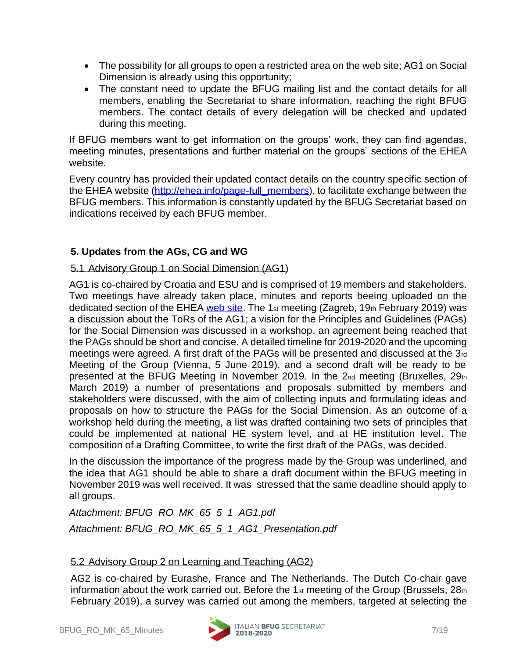- The possibility for all groups to open a restricted area on the web site; AG1 on Social Dimension is already using this opportunity;
- The constant need to update the BFUG mailing list and the contact details for all members, enabling the Secretariat to share information, reaching the right BFUG members. The contact details of every delegation will be checked and updated during this meeting.

If BFUG members want to get information on the groups' work, they can find agendas, meeting minutes, presentations and further material on the groups' sections of the EHEA website.

Every country has provided their updated contact details on the country specific section of the EHEA website [\(http://ehea.info/page-full\\_members\)](http://ehea.info/page-full_members), to facilitate exchange between the BFUG members. This information is constantly updated by the BFUG Secretariat based on indications received by each BFUG member.

# **5. Updates from the AGs, CG and WG**

### 5.1 Advisory Group 1 on Social Dimension (AG1)

AG1 is co-chaired by Croatia and ESU and is comprised of 19 members and stakeholders. Two meetings have already taken place, minutes and reports beeing uploaded on the dedicated section of the EHEA [web site.](http://www.ehea.info/page-Advisory-Group-1) The 1st meeting (Zagreb, 19th February 2019) was a discussion about the ToRs of the AG1; a vision for the Principles and Guidelines (PAGs) for the Social Dimension was discussed in a workshop, an agreement being reached that the PAGs should be short and concise. A detailed timeline for 2019-2020 and the upcoming meetings were agreed. A first draft of the PAGs will be presented and discussed at the 3rd Meeting of the Group (Vienna, 5 June 2019), and a second draft will be ready to be presented at the BFUG Meeting in November 2019. In the 2nd meeting (Bruxelles, 29th March 2019) a number of presentations and proposals submitted by members and stakeholders were discussed, with the aim of collecting inputs and formulating ideas and proposals on how to structure the PAGs for the Social Dimension. As an outcome of a workshop held during the meeting, a list was drafted containing two sets of principles that could be implemented at national HE system level, and at HE institution level. The composition of a Drafting Committee, to write the first draft of the PAGs, was decided.

In the discussion the importance of the progress made by the Group was underlined, and the idea that AG1 should be able to share a draft document within the BFUG meeting in November 2019 was well received. It was stressed that the same deadline should apply to all groups.

*Attachment: BFUG\_RO\_MK\_65\_5\_1\_AG1.pdf Attachment: BFUG\_RO\_MK\_65\_5\_1\_AG1\_Presentation.pdf*

# 5.2 Advisory Group 2 on Learning and Teaching (AG2)

AG2 is co-chaired by Eurashe, France and The Netherlands. The Dutch Co-chair gave information about the work carried out. Before the 1st meeting of the Group (Brussels, 28th February 2019), a survey was carried out among the members, targeted at selecting the

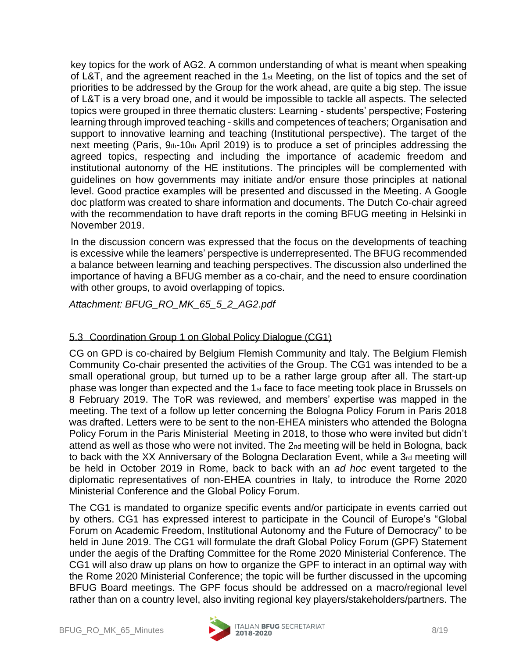key topics for the work of AG2. A common understanding of what is meant when speaking of L&T, and the agreement reached in the 1st Meeting, on the list of topics and the set of priorities to be addressed by the Group for the work ahead, are quite a big step. The issue of L&T is a very broad one, and it would be impossible to tackle all aspects. The selected topics were grouped in three thematic clusters: Learning - students' perspective; Fostering learning through improved teaching - skills and competences of teachers; Organisation and support to innovative learning and teaching (Institutional perspective). The target of the next meeting (Paris, 9th-10th April 2019) is to produce a set of principles addressing the agreed topics, respecting and including the importance of academic freedom and institutional autonomy of the HE institutions. The principles will be complemented with guidelines on how governments may initiate and/or ensure those principles at national level. Good practice examples will be presented and discussed in the Meeting. A Google doc platform was created to share information and documents. The Dutch Co-chair agreed with the recommendation to have draft reports in the coming BFUG meeting in Helsinki in November 2019.

In the discussion concern was expressed that the focus on the developments of teaching is excessive while the learners' perspective is underrepresented. The BFUG recommended a balance between learning and teaching perspectives. The discussion also underlined the importance of having a BFUG member as a co-chair, and the need to ensure coordination with other groups, to avoid overlapping of topics.

*Attachment: BFUG\_RO\_MK\_65\_5\_2\_AG2.pdf*

# 5.3 Coordination Group 1 on Global Policy Dialogue (CG1)

CG on GPD is co-chaired by Belgium Flemish Community and Italy. The Belgium Flemish Community Co-chair presented the activities of the Group. The CG1 was intended to be a small operational group, but turned up to be a rather large group after all. The start-up phase was longer than expected and the 1st face to face meeting took place in Brussels on 8 February 2019. The ToR was reviewed, and members' expertise was mapped in the meeting. The text of a follow up letter concerning the Bologna Policy Forum in Paris 2018 was drafted. Letters were to be sent to the non-EHEA ministers who attended the Bologna Policy Forum in the Paris Ministerial Meeting in 2018, to those who were invited but didn't attend as well as those who were not invited. The 2nd meeting will be held in Bologna, back to back with the XX Anniversary of the Bologna Declaration Event, while a 3rd meeting will be held in October 2019 in Rome, back to back with an *ad hoc* event targeted to the diplomatic representatives of non-EHEA countries in Italy, to introduce the Rome 2020 Ministerial Conference and the Global Policy Forum.

The CG1 is mandated to organize specific events and/or participate in events carried out by others. CG1 has expressed interest to participate in the Council of Europe's "Global Forum on Academic Freedom, Institutional Autonomy and the Future of Democracy" to be held in June 2019. The CG1 will formulate the draft Global Policy Forum (GPF) Statement under the aegis of the Drafting Committee for the Rome 2020 Ministerial Conference. The CG1 will also draw up plans on how to organize the GPF to interact in an optimal way with the Rome 2020 Ministerial Conference; the topic will be further discussed in the upcoming BFUG Board meetings. The GPF focus should be addressed on a macro/regional level rather than on a country level, also inviting regional key players/stakeholders/partners. The

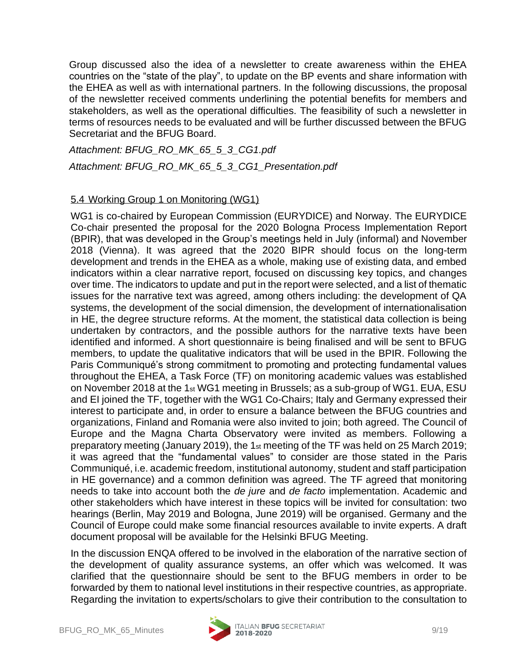Group discussed also the idea of a newsletter to create awareness within the EHEA countries on the "state of the play", to update on the BP events and share information with the EHEA as well as with international partners. In the following discussions, the proposal of the newsletter received comments underlining the potential benefits for members and stakeholders, as well as the operational difficulties. The feasibility of such a newsletter in terms of resources needs to be evaluated and will be further discussed between the BFUG Secretariat and the BFUG Board.

*Attachment: BFUG\_RO\_MK\_65\_5\_3\_CG1.pdf Attachment: BFUG\_RO\_MK\_65\_5\_3\_CG1\_Presentation.pdf*

#### 5.4 Working Group 1 on Monitoring (WG1)

WG1 is co-chaired by European Commission (EURYDICE) and Norway. The EURYDICE Co-chair presented the proposal for the 2020 Bologna Process Implementation Report (BPIR), that was developed in the Group's meetings held in July (informal) and November 2018 (Vienna). It was agreed that the 2020 BIPR should focus on the long-term development and trends in the EHEA as a whole, making use of existing data, and embed indicators within a clear narrative report, focused on discussing key topics, and changes over time. The indicators to update and put in the report were selected, and a list of thematic issues for the narrative text was agreed, among others including: the development of QA systems, the development of the social dimension, the development of internationalisation in HE, the degree structure reforms. At the moment, the statistical data collection is being undertaken by contractors, and the possible authors for the narrative texts have been identified and informed. A short questionnaire is being finalised and will be sent to BFUG members, to update the qualitative indicators that will be used in the BPIR. Following the Paris Communiqué's strong commitment to promoting and protecting fundamental values throughout the EHEA, a Task Force (TF) on monitoring academic values was established on November 2018 at the 1st WG1 meeting in Brussels; as a sub-group of WG1. EUA, ESU and EI joined the TF, together with the WG1 Co-Chairs; Italy and Germany expressed their interest to participate and, in order to ensure a balance between the BFUG countries and organizations, Finland and Romania were also invited to join; both agreed. The Council of Europe and the Magna Charta Observatory were invited as members. Following a preparatory meeting (January 2019), the 1st meeting of the TF was held on 25 March 2019; it was agreed that the "fundamental values" to consider are those stated in the Paris Communiqué, i.e. academic freedom, institutional autonomy, student and staff participation in HE governance) and a common definition was agreed. The TF agreed that monitoring needs to take into account both the *de jure* and *de facto* implementation. Academic and other stakeholders which have interest in these topics will be invited for consultation: two hearings (Berlin, May 2019 and Bologna, June 2019) will be organised. Germany and the Council of Europe could make some financial resources available to invite experts. A draft document proposal will be available for the Helsinki BFUG Meeting.

In the discussion ENQA offered to be involved in the elaboration of the narrative section of the development of quality assurance systems, an offer which was welcomed. It was clarified that the questionnaire should be sent to the BFUG members in order to be forwarded by them to national level institutions in their respective countries, as appropriate. Regarding the invitation to experts/scholars to give their contribution to the consultation to

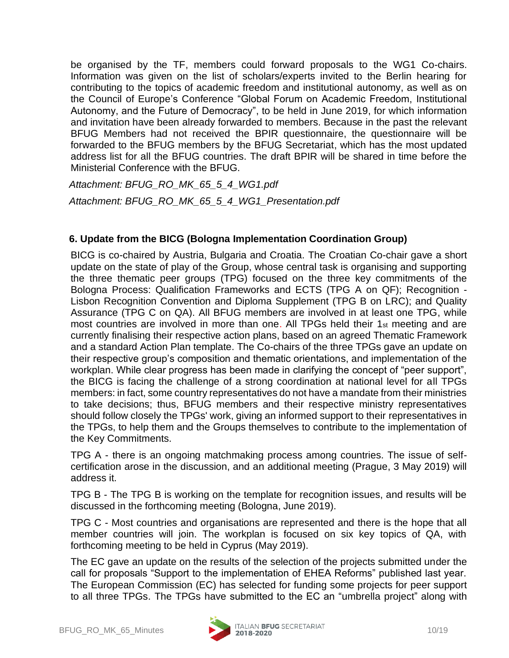be organised by the TF, members could forward proposals to the WG1 Co-chairs. Information was given on the list of scholars/experts invited to the Berlin hearing for contributing to the topics of academic freedom and institutional autonomy, as well as on the Council of Europe's Conference "Global Forum on Academic Freedom, Institutional Autonomy, and the Future of Democracy", to be held in June 2019, for which information and invitation have been already forwarded to members. Because in the past the relevant BFUG Members had not received the BPIR questionnaire, the questionnaire will be forwarded to the BFUG members by the BFUG Secretariat, which has the most updated address list for all the BFUG countries. The draft BPIR will be shared in time before the Ministerial Conference with the BFUG.

*Attachment: BFUG\_RO\_MK\_65\_5\_4\_WG1.pdf Attachment: BFUG\_RO\_MK\_65\_5\_4\_WG1\_Presentation.pdf*

# **6. Update from the BICG (Bologna Implementation Coordination Group)**

BICG is co-chaired by Austria, Bulgaria and Croatia. The Croatian Co-chair gave a short update on the state of play of the Group, whose central task is organising and supporting the three thematic peer groups (TPG) focused on the three key commitments of the Bologna Process: Qualification Frameworks and ECTS (TPG A on QF); Recognition - Lisbon Recognition Convention and Diploma Supplement (TPG B on LRC); and Quality Assurance (TPG C on QA). All BFUG members are involved in at least one TPG, while most countries are involved in more than one. All TPGs held their 1st meeting and are currently finalising their respective action plans, based on an agreed Thematic Framework and a standard Action Plan template. The Co-chairs of the three TPGs gave an update on their respective group's composition and thematic orientations, and implementation of the workplan. While clear progress has been made in clarifying the concept of "peer support", the BICG is facing the challenge of a strong coordination at national level for all TPGs members: in fact, some country representatives do not have a mandate from their ministries to take decisions; thus, BFUG members and their respective ministry representatives should follow closely the TPGs' work, giving an informed support to their representatives in the TPGs, to help them and the Groups themselves to contribute to the implementation of the Key Commitments.

TPG A - there is an ongoing matchmaking process among countries. The issue of selfcertification arose in the discussion, and an additional meeting (Prague, 3 May 2019) will address it.

TPG B - The TPG B is working on the template for recognition issues, and results will be discussed in the forthcoming meeting (Bologna, June 2019).

TPG C - Most countries and organisations are represented and there is the hope that all member countries will join. The workplan is focused on six key topics of QA, with forthcoming meeting to be held in Cyprus (May 2019).

The EC gave an update on the results of the selection of the projects submitted under the call for proposals "Support to the implementation of EHEA Reforms" published last year. The European Commission (EC) has selected for funding some projects for peer support to all three TPGs. The TPGs have submitted to the EC an "umbrella project" along with

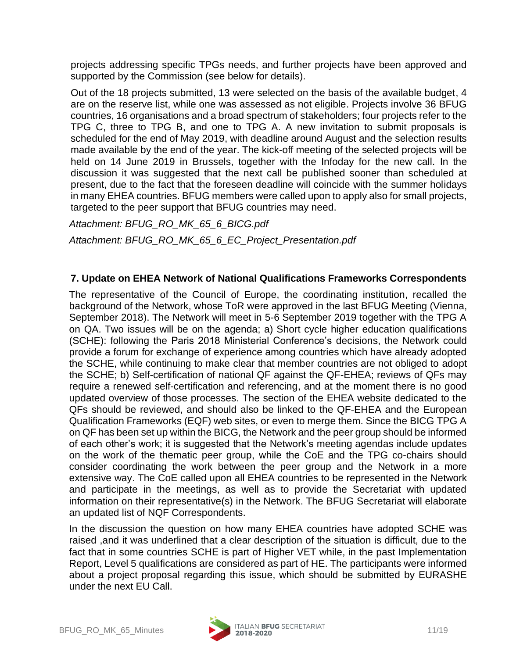projects addressing specific TPGs needs, and further projects have been approved and supported by the Commission (see below for details).

Out of the 18 projects submitted, 13 were selected on the basis of the available budget, 4 are on the reserve list, while one was assessed as not eligible. Projects involve 36 BFUG countries, 16 organisations and a broad spectrum of stakeholders; four projects refer to the TPG C, three to TPG B, and one to TPG A. A new invitation to submit proposals is scheduled for the end of May 2019, with deadline around August and the selection results made available by the end of the year. The kick-off meeting of the selected projects will be held on 14 June 2019 in Brussels, together with the Infoday for the new call. In the discussion it was suggested that the next call be published sooner than scheduled at present, due to the fact that the foreseen deadline will coincide with the summer holidays in many EHEA countries. BFUG members were called upon to apply also for small projects, targeted to the peer support that BFUG countries may need.

*Attachment: BFUG\_RO\_MK\_65\_6\_BICG.pdf Attachment: BFUG\_RO\_MK\_65\_6\_EC\_Project\_Presentation.pdf*

#### **7. Update on EHEA Network of National Qualifications Frameworks Correspondents**

The representative of the Council of Europe, the coordinating institution, recalled the background of the Network, whose ToR were approved in the last BFUG Meeting (Vienna, September 2018). The Network will meet in 5-6 September 2019 together with the TPG A on QA. Two issues will be on the agenda; a) Short cycle higher education qualifications (SCHE): following the Paris 2018 Ministerial Conference's decisions, the Network could provide a forum for exchange of experience among countries which have already adopted the SCHE, while continuing to make clear that member countries are not obliged to adopt the SCHE; b) Self-certification of national QF against the QF-EHEA; reviews of QFs may require a renewed self-certification and referencing, and at the moment there is no good updated overview of those processes. The section of the EHEA website dedicated to the QFs should be reviewed, and should also be linked to the QF-EHEA and the European Qualification Frameworks (EQF) web sites, or even to merge them. Since the BICG TPG A on QF has been set up within the BICG, the Network and the peer group should be informed of each other's work; it is suggested that the Network's meeting agendas include updates on the work of the thematic peer group, while the CoE and the TPG co-chairs should consider coordinating the work between the peer group and the Network in a more extensive way. The CoE called upon all EHEA countries to be represented in the Network and participate in the meetings, as well as to provide the Secretariat with updated information on their representative(s) in the Network. The BFUG Secretariat will elaborate an updated list of NQF Correspondents.

In the discussion the question on how many EHEA countries have adopted SCHE was raised ,and it was underlined that a clear description of the situation is difficult, due to the fact that in some countries SCHE is part of Higher VET while, in the past Implementation Report, Level 5 qualifications are considered as part of HE. The participants were informed about a project proposal regarding this issue, which should be submitted by EURASHE under the next EU Call.

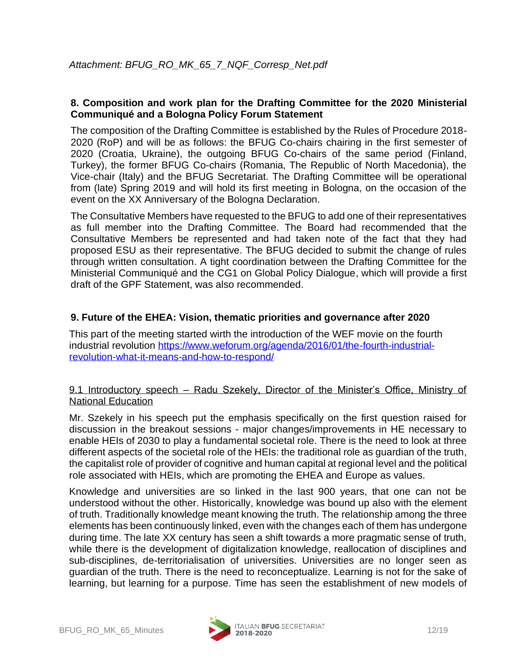#### **8. Composition and work plan for the Drafting Committee for the 2020 Ministerial Communiqué and a Bologna Policy Forum Statement**

The composition of the Drafting Committee is established by the Rules of Procedure 2018- 2020 (RoP) and will be as follows: the BFUG Co-chairs chairing in the first semester of 2020 (Croatia, Ukraine), the outgoing BFUG Co-chairs of the same period (Finland, Turkey), the former BFUG Co-chairs (Romania, The Republic of North Macedonia), the Vice-chair (Italy) and the BFUG Secretariat. The Drafting Committee will be operational from (late) Spring 2019 and will hold its first meeting in Bologna, on the occasion of the event on the XX Anniversary of the Bologna Declaration.

The Consultative Members have requested to the BFUG to add one of their representatives as full member into the Drafting Committee. The Board had recommended that the Consultative Members be represented and had taken note of the fact that they had proposed ESU as their representative. The BFUG decided to submit the change of rules through written consultation. A tight coordination between the Drafting Committee for the Ministerial Communiqué and the CG1 on Global Policy Dialogue, which will provide a first draft of the GPF Statement, was also recommended.

#### **9. Future of the EHEA: Vision, thematic priorities and governance after 2020**

This part of the meeting started wirth the introduction of the WEF movie on the fourth industrial revolution [https://www.weforum.org/agenda/2016/01/the-fourth-industrial](https://www.weforum.org/agenda/2016/01/the-fourth-industrial-revolution-what-it-means-and-how-to-respond/)[revolution-what-it-means-and-how-to-respond/](https://www.weforum.org/agenda/2016/01/the-fourth-industrial-revolution-what-it-means-and-how-to-respond/)

#### 9.1 Introductory speech - Radu Szekely, Director of the Minister's Office, Ministry of National Education

Mr. Szekely in his speech put the emphasis specifically on the first question raised for discussion in the breakout sessions - major changes/improvements in HE necessary to enable HEIs of 2030 to play a fundamental societal role. There is the need to look at three different aspects of the societal role of the HEIs: the traditional role as guardian of the truth, the capitalist role of provider of cognitive and human capital at regional level and the political role associated with HEIs, which are promoting the EHEA and Europe as values.

Knowledge and universities are so linked in the last 900 years, that one can not be understood without the other. Historically, knowledge was bound up also with the element of truth. Traditionally knowledge meant knowing the truth. The relationship among the three elements has been continuously linked, even with the changes each of them has undergone during time. The late XX century has seen a shift towards a more pragmatic sense of truth, while there is the development of digitalization knowledge, reallocation of disciplines and sub-disciplines, de-territorialisation of universities. Universities are no longer seen as guardian of the truth. There is the need to reconceptualize. Learning is not for the sake of learning, but learning for a purpose. Time has seen the establishment of new models of

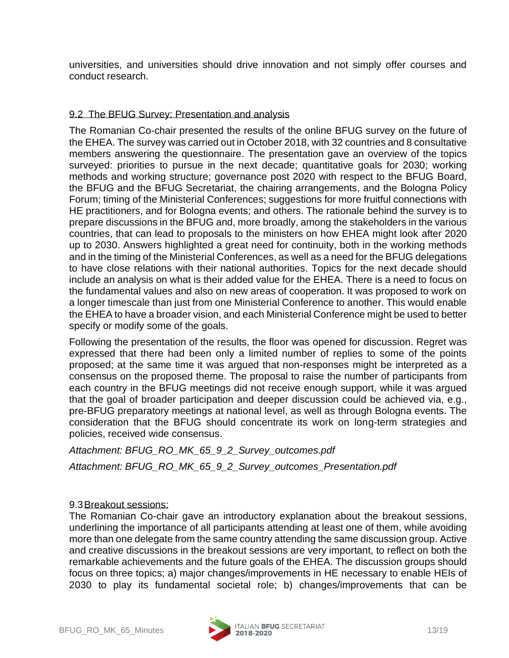universities, and universities should drive innovation and not simply offer courses and conduct research.

#### 9.2 The BFUG Survey: Presentation and analysis

The Romanian Co-chair presented the results of the online BFUG survey on the future of the EHEA. The survey was carried out in October 2018, with 32 countries and 8 consultative members answering the questionnaire. The presentation gave an overview of the topics surveyed: priorities to pursue in the next decade; quantitative goals for 2030; working methods and working structure; governance post 2020 with respect to the BFUG Board, the BFUG and the BFUG Secretariat, the chairing arrangements, and the Bologna Policy Forum; timing of the Ministerial Conferences; suggestions for more fruitful connections with HE practitioners, and for Bologna events; and others. The rationale behind the survey is to prepare discussions in the BFUG and, more broadly, among the stakeholders in the various countries, that can lead to proposals to the ministers on how EHEA might look after 2020 up to 2030. Answers highlighted a great need for continuity, both in the working methods and in the timing of the Ministerial Conferences, as well as a need for the BFUG delegations to have close relations with their national authorities. Topics for the next decade should include an analysis on what is their added value for the EHEA. There is a need to focus on the fundamental values and also on new areas of cooperation. It was proposed to work on a longer timescale than just from one Ministerial Conference to another. This would enable the EHEA to have a broader vision, and each Ministerial Conference might be used to better specify or modify some of the goals.

Following the presentation of the results, the floor was opened for discussion. Regret was expressed that there had been only a limited number of replies to some of the points proposed; at the same time it was argued that non-responses might be interpreted as a consensus on the proposed theme. The proposal to raise the number of participants from each country in the BFUG meetings did not receive enough support, while it was argued that the goal of broader participation and deeper discussion could be achieved via, e.g., pre-BFUG preparatory meetings at national level, as well as through Bologna events. The consideration that the BFUG should concentrate its work on long-term strategies and policies, received wide consensus.

*Attachment: BFUG\_RO\_MK\_65\_9\_2\_Survey\_outcomes.pdf Attachment: BFUG\_RO\_MK\_65\_9\_2\_Survey\_outcomes\_Presentation.pdf*

#### 9.3Breakout sessions:

The Romanian Co-chair gave an introductory explanation about the breakout sessions, underlining the importance of all participants attending at least one of them, while avoiding more than one delegate from the same country attending the same discussion group. Active and creative discussions in the breakout sessions are very important, to reflect on both the remarkable achievements and the future goals of the EHEA. The discussion groups should focus on three topics; a) major changes/improvements in HE necessary to enable HEIs of 2030 to play its fundamental societal role; b) changes/improvements that can be

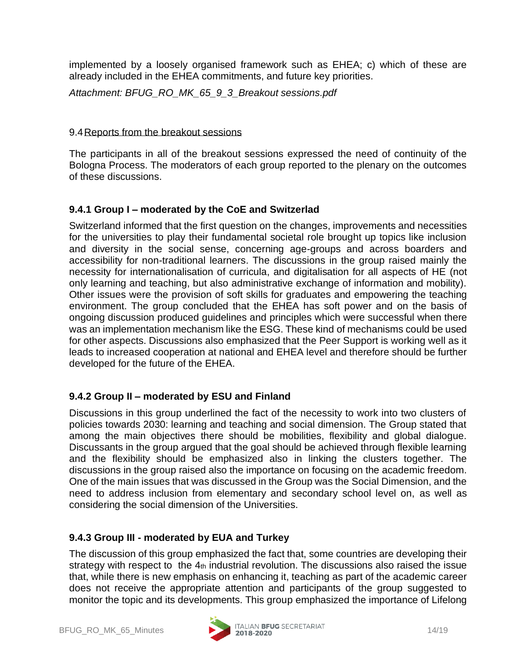implemented by a loosely organised framework such as EHEA; c) which of these are already included in the EHEA commitments, and future key priorities.

*Attachment: BFUG\_RO\_MK\_65\_9\_3\_Breakout sessions.pdf*

#### 9.4Reports from the breakout sessions

The participants in all of the breakout sessions expressed the need of continuity of the Bologna Process. The moderators of each group reported to the plenary on the outcomes of these discussions.

# **9.4.1 Group I – moderated by the CoE and Switzerlad**

Switzerland informed that the first question on the changes, improvements and necessities for the universities to play their fundamental societal role brought up topics like inclusion and diversity in the social sense, concerning age-groups and across boarders and accessibility for non-traditional learners. The discussions in the group raised mainly the necessity for internationalisation of curricula, and digitalisation for all aspects of HE (not only learning and teaching, but also administrative exchange of information and mobility). Other issues were the provision of soft skills for graduates and empowering the teaching environment. The group concluded that the EHEA has soft power and on the basis of ongoing discussion produced guidelines and principles which were successful when there was an implementation mechanism like the ESG. These kind of mechanisms could be used for other aspects. Discussions also emphasized that the Peer Support is working well as it leads to increased cooperation at national and EHEA level and therefore should be further developed for the future of the EHEA.

# **9.4.2 Group II – moderated by ESU and Finland**

Discussions in this group underlined the fact of the necessity to work into two clusters of policies towards 2030: learning and teaching and social dimension. The Group stated that among the main objectives there should be mobilities, flexibility and global dialogue. Discussants in the group argued that the goal should be achieved through flexible learning and the flexibility should be emphasized also in linking the clusters together. The discussions in the group raised also the importance on focusing on the academic freedom. One of the main issues that was discussed in the Group was the Social Dimension, and the need to address inclusion from elementary and secondary school level on, as well as considering the social dimension of the Universities.

# **9.4.3 Group III - moderated by EUA and Turkey**

The discussion of this group emphasized the fact that, some countries are developing their strategy with respect to the 4th industrial revolution. The discussions also raised the issue that, while there is new emphasis on enhancing it, teaching as part of the academic career does not receive the appropriate attention and participants of the group suggested to monitor the topic and its developments. This group emphasized the importance of Lifelong

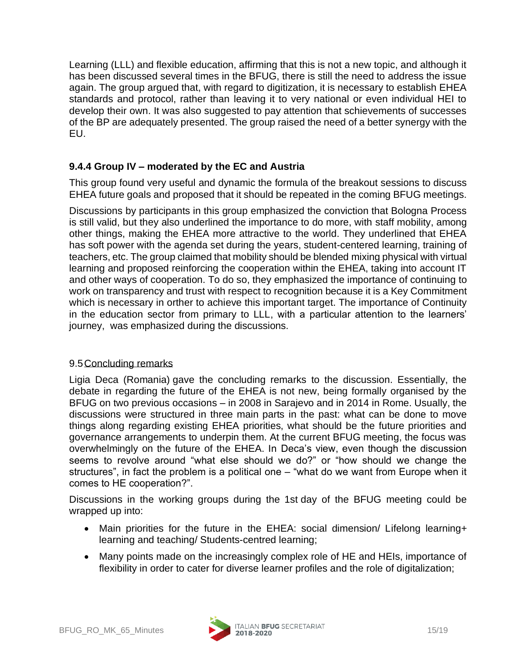Learning (LLL) and flexible education, affirming that this is not a new topic, and although it has been discussed several times in the BFUG, there is still the need to address the issue again. The group argued that, with regard to digitization, it is necessary to establish EHEA standards and protocol, rather than leaving it to very national or even individual HEI to develop their own. It was also suggested to pay attention that schievements of successes of the BP are adequately presented. The group raised the need of a better synergy with the EU.

# **9.4.4 Group IV – moderated by the EC and Austria**

This group found very useful and dynamic the formula of the breakout sessions to discuss EHEA future goals and proposed that it should be repeated in the coming BFUG meetings.

Discussions by participants in this group emphasized the conviction that Bologna Process is still valid, but they also underlined the importance to do more, with staff mobility, among other things, making the EHEA more attractive to the world. They underlined that EHEA has soft power with the agenda set during the years, student-centered learning, training of teachers, etc. The group claimed that mobility should be blended mixing physical with virtual learning and proposed reinforcing the cooperation within the EHEA, taking into account IT and other ways of cooperation. To do so, they emphasized the importance of continuing to work on transparency and trust with respect to recognition because it is a Key Commitment which is necessary in orther to achieve this important target. The importance of Continuity in the education sector from primary to LLL, with a particular attention to the learners' journey, was emphasized during the discussions.

#### 9.5Concluding remarks

Ligia Deca (Romania) gave the concluding remarks to the discussion. Essentially, the debate in regarding the future of the EHEA is not new, being formally organised by the BFUG on two previous occasions – in 2008 in Sarajevo and in 2014 in Rome. Usually, the discussions were structured in three main parts in the past: what can be done to move things along regarding existing EHEA priorities, what should be the future priorities and governance arrangements to underpin them. At the current BFUG meeting, the focus was overwhelmingly on the future of the EHEA. In Deca's view, even though the discussion seems to revolve around "what else should we do?" or "how should we change the structures", in fact the problem is a political one – "what do we want from Europe when it comes to HE cooperation?".

Discussions in the working groups during the 1st day of the BFUG meeting could be wrapped up into:

- Main priorities for the future in the EHEA: social dimension/ Lifelong learning+ learning and teaching/ Students-centred learning;
- Many points made on the increasingly complex role of HE and HEIs, importance of flexibility in order to cater for diverse learner profiles and the role of digitalization;

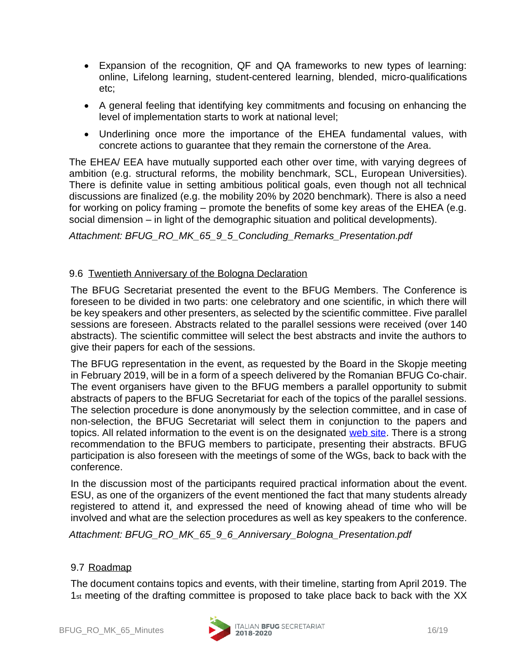- Expansion of the recognition, QF and QA frameworks to new types of learning: online, Lifelong learning, student-centered learning, blended, micro-qualifications etc;
- A general feeling that identifying key commitments and focusing on enhancing the level of implementation starts to work at national level;
- Underlining once more the importance of the EHEA fundamental values, with concrete actions to guarantee that they remain the cornerstone of the Area.

The EHEA/ EEA have mutually supported each other over time, with varying degrees of ambition (e.g. structural reforms, the mobility benchmark, SCL, European Universities). There is definite value in setting ambitious political goals, even though not all technical discussions are finalized (e.g. the mobility 20% by 2020 benchmark). There is also a need for working on policy framing – promote the benefits of some key areas of the EHEA (e.g. social dimension – in light of the demographic situation and political developments).

#### *Attachment: BFUG\_RO\_MK\_65\_9\_5\_Concluding\_Remarks\_Presentation.pdf*

#### 9.6 Twentieth Anniversary of the Bologna Declaration

The BFUG Secretariat presented the event to the BFUG Members. The Conference is foreseen to be divided in two parts: one celebratory and one scientific, in which there will be key speakers and other presenters, as selected by the scientific committee. Five parallel sessions are foreseen. Abstracts related to the parallel sessions were received (over 140 abstracts). The scientific committee will select the best abstracts and invite the authors to give their papers for each of the sessions.

The BFUG representation in the event, as requested by the Board in the Skopje meeting in February 2019, will be in a form of a speech delivered by the Romanian BFUG Co-chair. The event organisers have given to the BFUG members a parallel opportunity to submit abstracts of papers to the BFUG Secretariat for each of the topics of the parallel sessions. The selection procedure is done anonymously by the selection committee, and in case of non-selection, the BFUG Secretariat will select them in conjunction to the papers and topics. All related information to the event is on the designated [web site.](http://bolognaprocess2019.it/) There is a strong recommendation to the BFUG members to participate, presenting their abstracts. BFUG participation is also foreseen with the meetings of some of the WGs, back to back with the conference.

In the discussion most of the participants required practical information about the event. ESU, as one of the organizers of the event mentioned the fact that many students already registered to attend it, and expressed the need of knowing ahead of time who will be involved and what are the selection procedures as well as key speakers to the conference.

*Attachment: BFUG\_RO\_MK\_65\_9\_6\_Anniversary\_Bologna\_Presentation.pdf*

#### 9.7 Roadmap

The document contains topics and events, with their timeline, starting from April 2019. The 1st meeting of the drafting committee is proposed to take place back to back with the XX

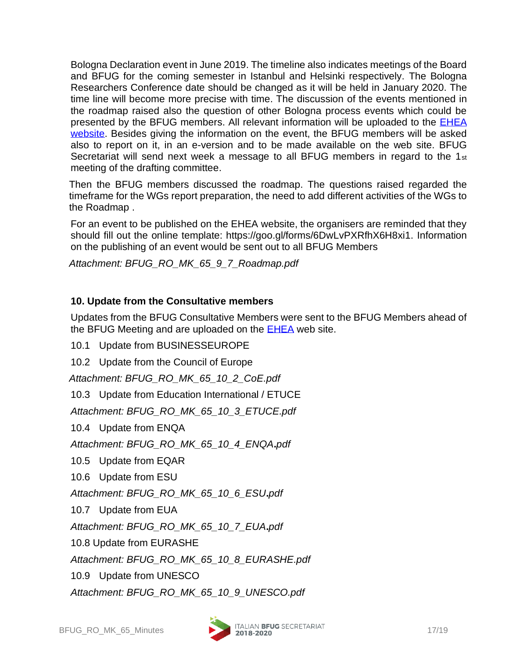Bologna Declaration event in June 2019. The timeline also indicates meetings of the Board and BFUG for the coming semester in Istanbul and Helsinki respectively. The Bologna Researchers Conference date should be changed as it will be held in January 2020. The time line will become more precise with time. The discussion of the events mentioned in the roadmap raised also the question of other Bologna process events which could be presented by the BFUG members. All relevant information will be uploaded to the **EHEA** [website.](http://www.ehea.info/page-events) Besides giving the information on the event, the BFUG members will be asked also to report on it, in an e-version and to be made available on the web site. BFUG Secretariat will send next week a message to all BFUG members in regard to the 1st meeting of the drafting committee.

Then the BFUG members discussed the roadmap. The questions raised regarded the timeframe for the WGs report preparation, the need to add different activities of the WGs to the Roadmap .

For an event to be published on the EHEA website, the organisers are reminded that they should fill out the online template: https://goo.gl/forms/6DwLvPXRfhX6H8xi1. Information on the publishing of an event would be sent out to all BFUG Members

*Attachment: BFUG\_RO\_MK\_65\_9\_7\_Roadmap.pdf*

# **10. Update from the Consultative members**

Updates from the BFUG Consultative Members were sent to the BFUG Members ahead of the BFUG Meeting and are uploaded on the **EHEA** web site.

10.1 Update from BUSINESSEUROPE

10.2 Update from the Council of Europe

*Attachment: BFUG\_RO\_MK\_65\_10\_2\_CoE.pdf*

10.3 Update from Education International / ETUCE

*Attachment: BFUG\_RO\_MK\_65\_10\_3\_ETUCE.pdf*

10.4 Update from ENQA

*Attachment: BFUG\_RO\_MK\_65\_10\_4\_ENQA***.***pdf*

10.5 Update from EQAR

10.6 Update from ESU

*Attachment: BFUG\_RO\_MK\_65\_10\_6\_ESU***.***pdf*

10.7 Update from EUA

*Attachment: BFUG\_RO\_MK\_65\_10\_7\_EUA***.***pdf*

10.8 Update from EURASHE

*Attachment: BFUG\_RO\_MK\_65\_10\_8\_EURASHE.pdf*

10.9 Update from UNESCO

*Attachment: BFUG\_RO\_MK\_65\_10\_9\_UNESCO.pdf*

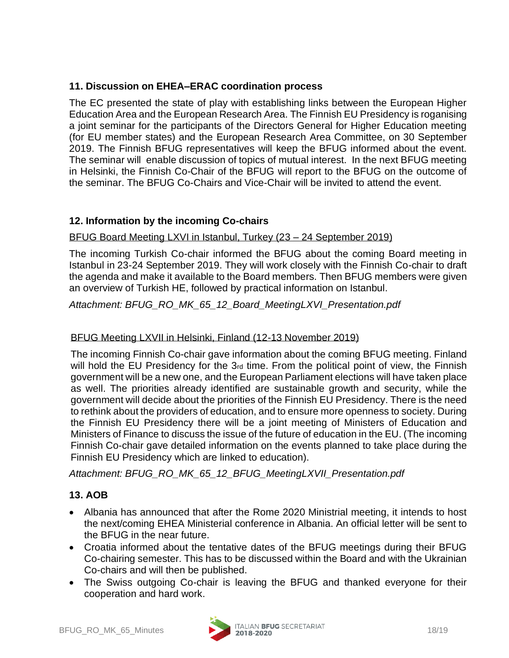# **11. Discussion on EHEA–ERAC coordination process**

The EC presented the state of play with establishing links between the European Higher Education Area and the European Research Area. The Finnish EU Presidency is roganising a joint seminar for the participants of the Directors General for Higher Education meeting (for EU member states) and the European Research Area Committee, on 30 September 2019. The Finnish BFUG representatives will keep the BFUG informed about the event. The seminar will enable discussion of topics of mutual interest. In the next BFUG meeting in Helsinki, the Finnish Co-Chair of the BFUG will report to the BFUG on the outcome of the seminar. The BFUG Co-Chairs and Vice-Chair will be invited to attend the event.

# **12. Information by the incoming Co-chairs**

### BFUG Board Meeting LXVI in Istanbul, Turkey (23 – 24 September 2019)

The incoming Turkish Co-chair informed the BFUG about the coming Board meeting in Istanbul in 23-24 September 2019. They will work closely with the Finnish Co-chair to draft the agenda and make it available to the Board members. Then BFUG members were given an overview of Turkish HE, followed by practical information on Istanbul.

*Attachment: BFUG\_RO\_MK\_65\_12\_Board\_MeetingLXVI\_Presentation.pdf*

# BFUG Meeting LXVII in Helsinki, Finland (12-13 November 2019)

The incoming Finnish Co-chair gave information about the coming BFUG meeting. Finland will hold the EU Presidency for the 3rd time. From the political point of view, the Finnish government will be a new one, and the European Parliament elections will have taken place as well. The priorities already identified are sustainable growth and security, while the government will decide about the priorities of the Finnish EU Presidency. There is the need to rethink about the providers of education, and to ensure more openness to society. During the Finnish EU Presidency there will be a joint meeting of Ministers of Education and Ministers of Finance to discuss the issue of the future of education in the EU. (The incoming Finnish Co-chair gave detailed information on the events planned to take place during the Finnish EU Presidency which are linked to education).

*Attachment: BFUG\_RO\_MK\_65\_12\_BFUG\_MeetingLXVII\_Presentation.pdf*

# **13. AOB**

- Albania has announced that after the Rome 2020 Ministrial meeting, it intends to host the next/coming EHEA Ministerial conference in Albania. An official letter will be sent to the BFUG in the near future.
- Croatia informed about the tentative dates of the BFUG meetings during their BFUG Co-chairing semester. This has to be discussed within the Board and with the Ukrainian Co-chairs and will then be published.
- The Swiss outgoing Co-chair is leaving the BFUG and thanked everyone for their cooperation and hard work.